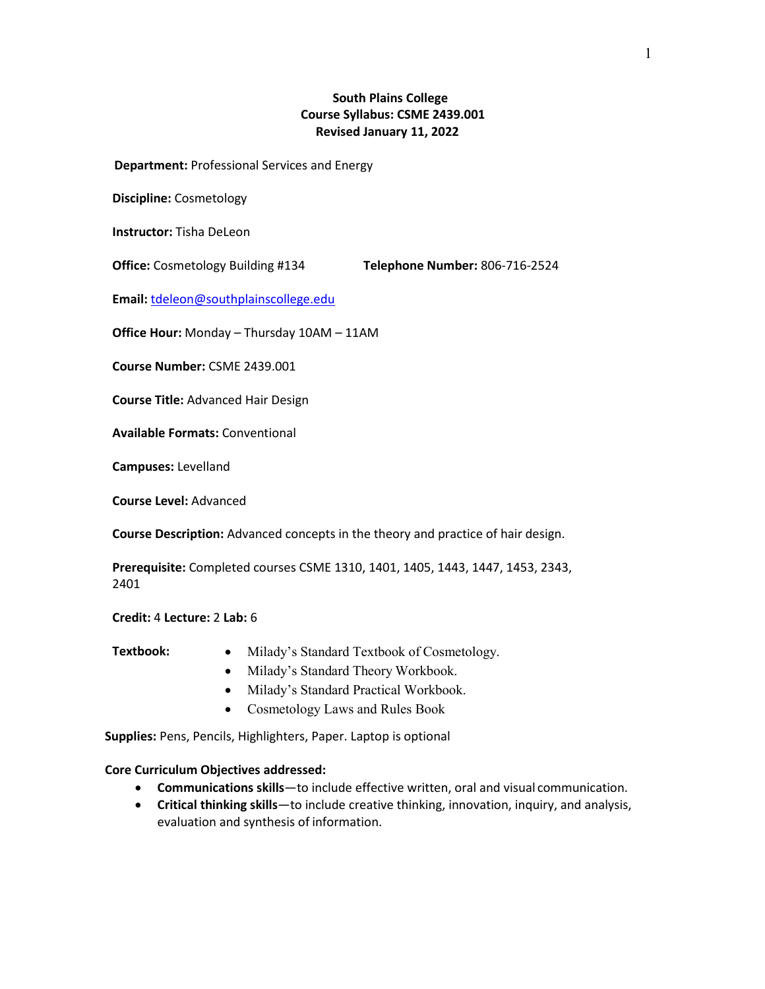# **South Plains College Course Syllabus: CSME 2439.001 Revised January 11, 2022**

 **Department:** Professional Services and Energy

**Discipline:** Cosmetology

**Instructor:** Tisha DeLeon

**Office:** Cosmetology Building #134 **Telephone Number:** 806-716-2524

**Email:** [tdeleon@southplainscollege.edu](mailto:tdeleon@southplainscollege.edu)

**Office Hour:** Monday – Thursday 10AM – 11AM

**Course Number:** CSME 2439.001

**Course Title:** Advanced Hair Design

**Available Formats:** Conventional

**Campuses:** Levelland

**Course Level:** Advanced

**Course Description:** Advanced concepts in the theory and practice of hair design.

**Prerequisite:** Completed courses CSME 1310, 1401, 1405, 1443, 1447, 1453, 2343, 2401

**Credit:** 4 **Lecture:** 2 **Lab:** 6

- 
- **Textbook:** Milady's Standard Textbook of Cosmetology.
	- Milady's Standard Theory Workbook.
	- Milady's Standard Practical Workbook.
	- Cosmetology Laws and Rules Book

**Supplies:** Pens, Pencils, Highlighters, Paper. Laptop is optional

#### **Core Curriculum Objectives addressed:**

- **Communications skills**—to include effective written, oral and visual communication.
- **Critical thinking skills**—to include creative thinking, innovation, inquiry, and analysis, evaluation and synthesis of information.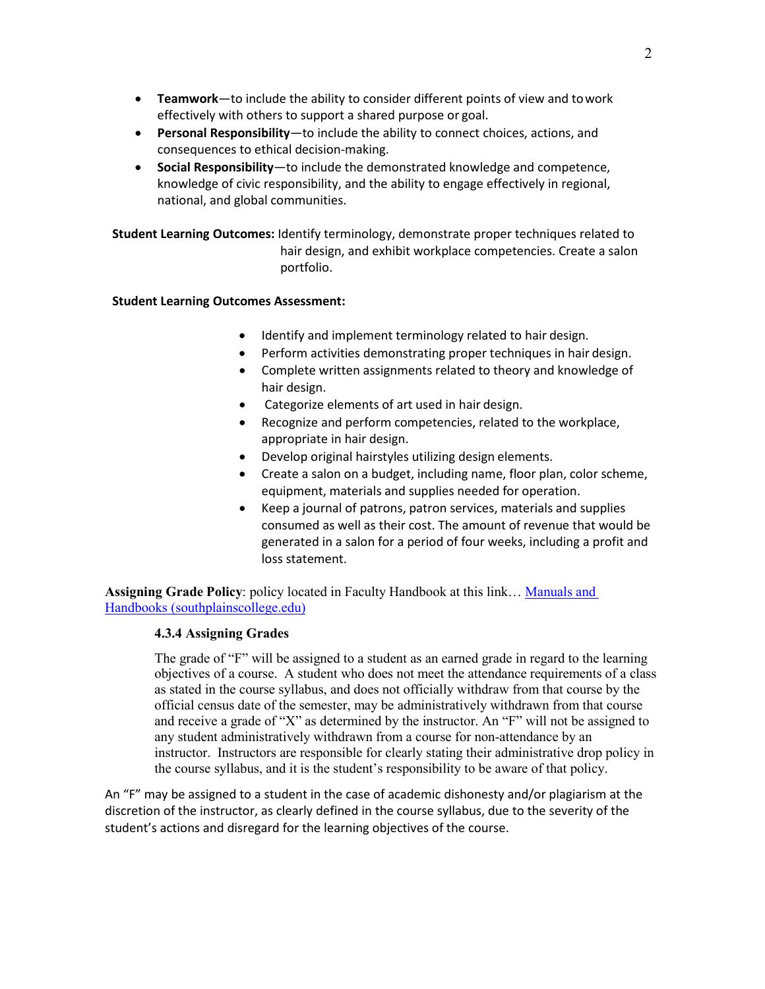- **Teamwork**—to include the ability to consider different points of view and towork effectively with others to support a shared purpose or goal.
- **Personal Responsibility**—to include the ability to connect choices, actions, and consequences to ethical decision-making.
- **Social Responsibility**—to include the demonstrated knowledge and competence, knowledge of civic responsibility, and the ability to engage effectively in regional, national, and global communities.

**Student Learning Outcomes:** Identify terminology, demonstrate proper techniques related to hair design, and exhibit workplace competencies. Create a salon portfolio.

## **Student Learning Outcomes Assessment:**

- Identify and implement terminology related to hair design.
- Perform activities demonstrating proper techniques in hair design.
- Complete written assignments related to theory and knowledge of hair design.
- Categorize elements of art used in hair design.
- Recognize and perform competencies, related to the workplace, appropriate in hair design.
- Develop original hairstyles utilizing design elements.
- Create a salon on a budget, including name, floor plan, color scheme, equipment, materials and supplies needed for operation.
- Keep a journal of patrons, patron services, materials and supplies consumed as well as their cost. The amount of revenue that would be generated in a salon for a period of four weeks, including a profit and loss statement.

**Assigning Grade Policy**: policy located in Faculty Handbook at this link… [Manuals and](https://nam02.safelinks.protection.outlook.com/?url=https%3A%2F%2Fwww.southplainscollege.edu%2Femployees%2Fmanualshandbooks%2Ffacultyhandbook%2Fsec4.php&data=04%7C01%7Csthompson%40southplainscollege.edu%7C85990519e38442a426f608d9d47dc56b%7C6d91b166cf6a45e99e22a02625d082a9%7C0%7C0%7C637774459804998773%7CUnknown%7CTWFpbGZsb3d8eyJWIjoiMC4wLjAwMDAiLCJQIjoiV2luMzIiLCJBTiI6Ik1haWwiLCJXVCI6Mn0%3D%7C3000&sdata=aSzIFI3%2Bua40N6wO2i%2FijDsfzjyb9u%2BVl4v5APtlsLA%3D&reserved=0)  [Handbooks \(southplainscollege.edu\)](https://nam02.safelinks.protection.outlook.com/?url=https%3A%2F%2Fwww.southplainscollege.edu%2Femployees%2Fmanualshandbooks%2Ffacultyhandbook%2Fsec4.php&data=04%7C01%7Csthompson%40southplainscollege.edu%7C85990519e38442a426f608d9d47dc56b%7C6d91b166cf6a45e99e22a02625d082a9%7C0%7C0%7C637774459804998773%7CUnknown%7CTWFpbGZsb3d8eyJWIjoiMC4wLjAwMDAiLCJQIjoiV2luMzIiLCJBTiI6Ik1haWwiLCJXVCI6Mn0%3D%7C3000&sdata=aSzIFI3%2Bua40N6wO2i%2FijDsfzjyb9u%2BVl4v5APtlsLA%3D&reserved=0)

## **4.3.4 Assigning Grades**

The grade of "F" will be assigned to a student as an earned grade in regard to the learning objectives of a course. A student who does not meet the attendance requirements of a class as stated in the course syllabus, and does not officially withdraw from that course by the official census date of the semester, may be administratively withdrawn from that course and receive a grade of "X" as determined by the instructor. An "F" will not be assigned to any student administratively withdrawn from a course for non-attendance by an instructor. Instructors are responsible for clearly stating their administrative drop policy in the course syllabus, and it is the student's responsibility to be aware of that policy.

An "F" may be assigned to a student in the case of academic dishonesty and/or plagiarism at the discretion of the instructor, as clearly defined in the course syllabus, due to the severity of the student's actions and disregard for the learning objectives of the course.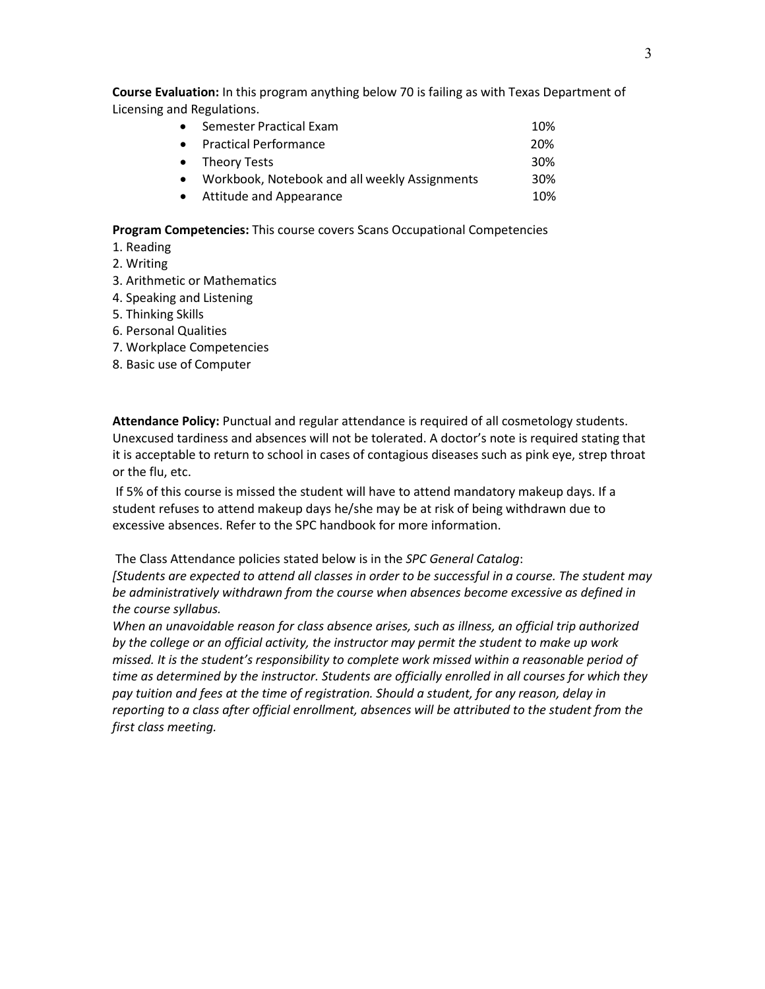**Course Evaluation:** In this program anything below 70 is failing as with Texas Department of Licensing and Regulations.

| $\bullet$ | Semester Practical Exam                         | 10% |
|-----------|-------------------------------------------------|-----|
|           | • Practical Performance                         | 20% |
|           | • Theory Tests                                  | 30% |
|           | • Workbook, Notebook and all weekly Assignments | 30% |
|           | • Attitude and Appearance                       | 10% |

**Program Competencies:** This course covers Scans Occupational Competencies

- 1. Reading
- 2. Writing
- 3. Arithmetic or Mathematics
- 4. Speaking and Listening
- 5. Thinking Skills
- 6. Personal Qualities
- 7. Workplace Competencies
- 8. Basic use of Computer

**Attendance Policy:** Punctual and regular attendance is required of all cosmetology students. Unexcused tardiness and absences will not be tolerated. A doctor's note is required stating that it is acceptable to return to school in cases of contagious diseases such as pink eye, strep throat or the flu, etc.

If 5% of this course is missed the student will have to attend mandatory makeup days. If a student refuses to attend makeup days he/she may be at risk of being withdrawn due to excessive absences. Refer to the SPC handbook for more information.

The Class Attendance policies stated below is in the *SPC General Catalog*:

*[Students are expected to attend all classes in order to be successful in a course. The student may be administratively withdrawn from the course when absences become excessive as defined in the course syllabus.*

*When an unavoidable reason for class absence arises, such as illness, an official trip authorized by the college or an official activity, the instructor may permit the student to make up work missed. It is the student's responsibility to complete work missed within a reasonable period of time as determined by the instructor. Students are officially enrolled in all courses for which they pay tuition and fees at the time of registration. Should a student, for any reason, delay in reporting to a class after official enrollment, absences will be attributed to the student from the first class meeting.*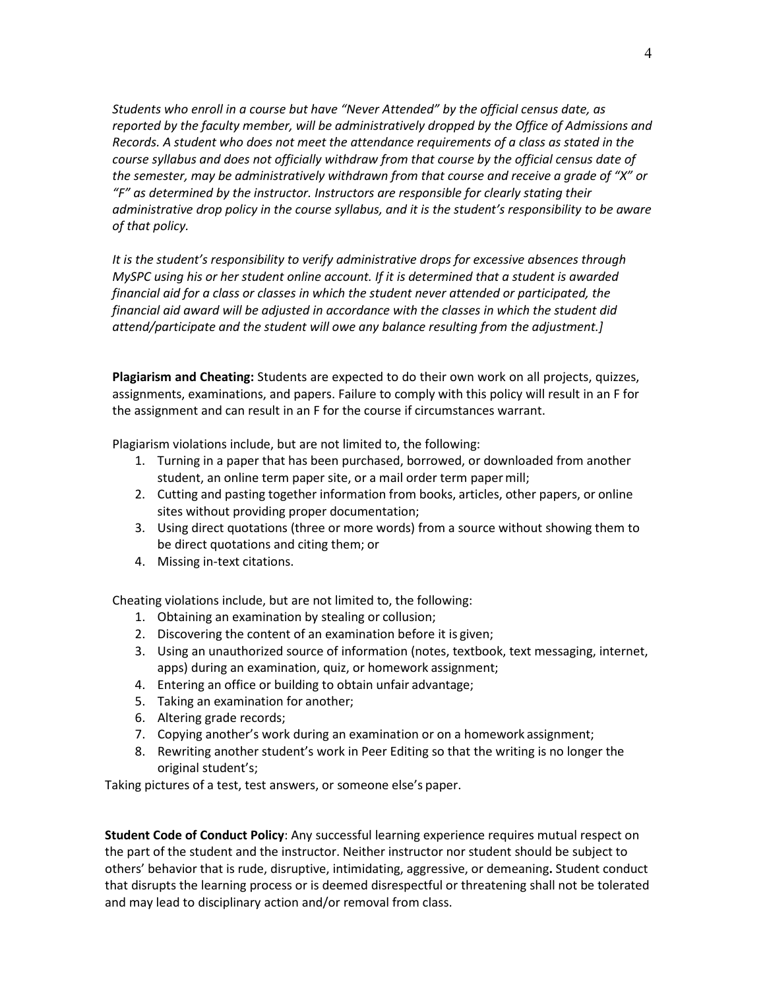*Students who enroll in a course but have "Never Attended" by the official census date, as reported by the faculty member, will be administratively dropped by the Office of Admissions and Records. A student who does not meet the attendance requirements of a class as stated in the course syllabus and does not officially withdraw from that course by the official census date of the semester, may be administratively withdrawn from that course and receive a grade of "X" or "F" as determined by the instructor. Instructors are responsible for clearly stating their administrative drop policy in the course syllabus, and it is the student's responsibility to be aware of that policy.*

*It is the student's responsibility to verify administrative drops for excessive absences through MySPC using his or her student online account. If it is determined that a student is awarded financial aid for a class or classes in which the student never attended or participated, the financial aid award will be adjusted in accordance with the classes in which the student did attend/participate and the student will owe any balance resulting from the adjustment.]*

**Plagiarism and Cheating:** Students are expected to do their own work on all projects, quizzes, assignments, examinations, and papers. Failure to comply with this policy will result in an F for the assignment and can result in an F for the course if circumstances warrant.

Plagiarism violations include, but are not limited to, the following:

- 1. Turning in a paper that has been purchased, borrowed, or downloaded from another student, an online term paper site, or a mail order term papermill;
- 2. Cutting and pasting together information from books, articles, other papers, or online sites without providing proper documentation;
- 3. Using direct quotations (three or more words) from a source without showing them to be direct quotations and citing them; or
- 4. Missing in-text citations.

Cheating violations include, but are not limited to, the following:

- 1. Obtaining an examination by stealing or collusion;
- 2. Discovering the content of an examination before it is given;
- 3. Using an unauthorized source of information (notes, textbook, text messaging, internet, apps) during an examination, quiz, or homework assignment;
- 4. Entering an office or building to obtain unfair advantage;
- 5. Taking an examination for another;
- 6. Altering grade records;
- 7. Copying another's work during an examination or on a homework assignment;
- 8. Rewriting another student's work in Peer Editing so that the writing is no longer the original student's;

Taking pictures of a test, test answers, or someone else's paper.

**Student Code of Conduct Policy**: Any successful learning experience requires mutual respect on the part of the student and the instructor. Neither instructor nor student should be subject to others' behavior that is rude, disruptive, intimidating, aggressive, or demeaning**.** Student conduct that disrupts the learning process or is deemed disrespectful or threatening shall not be tolerated and may lead to disciplinary action and/or removal from class.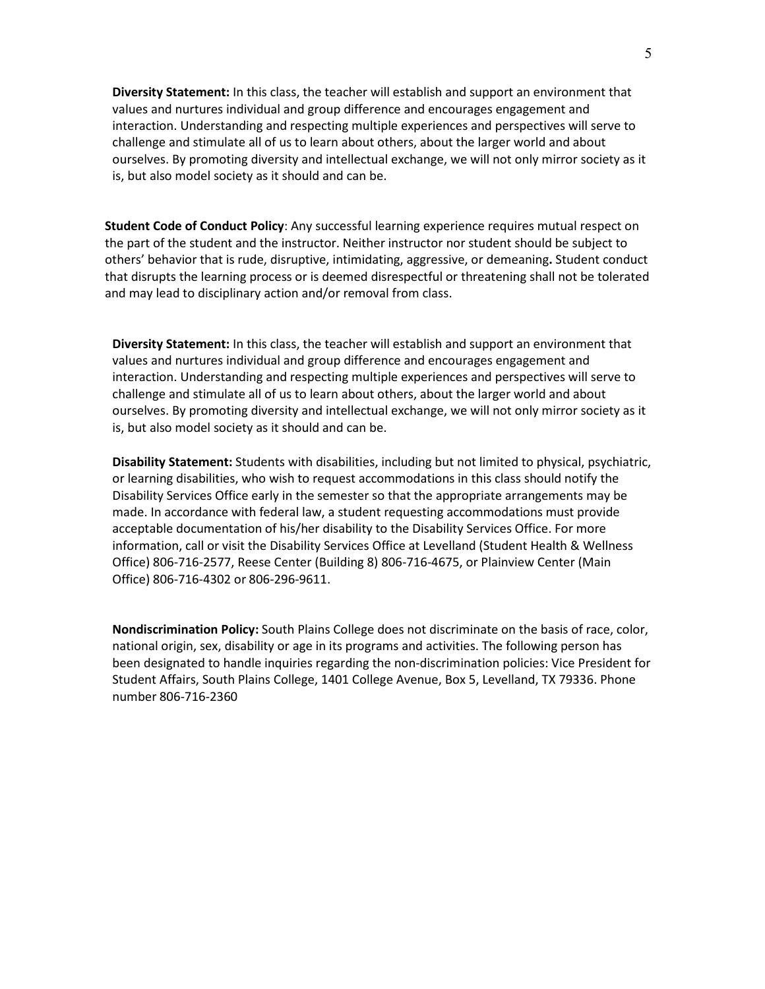**Diversity Statement:** In this class, the teacher will establish and support an environment that values and nurtures individual and group difference and encourages engagement and interaction. Understanding and respecting multiple experiences and perspectives will serve to challenge and stimulate all of us to learn about others, about the larger world and about ourselves. By promoting diversity and intellectual exchange, we will not only mirror society as it is, but also model society as it should and can be.

**Student Code of Conduct Policy**: Any successful learning experience requires mutual respect on the part of the student and the instructor. Neither instructor nor student should be subject to others' behavior that is rude, disruptive, intimidating, aggressive, or demeaning**.** Student conduct that disrupts the learning process or is deemed disrespectful or threatening shall not be tolerated and may lead to disciplinary action and/or removal from class.

**Diversity Statement:** In this class, the teacher will establish and support an environment that values and nurtures individual and group difference and encourages engagement and interaction. Understanding and respecting multiple experiences and perspectives will serve to challenge and stimulate all of us to learn about others, about the larger world and about ourselves. By promoting diversity and intellectual exchange, we will not only mirror society as it is, but also model society as it should and can be.

**Disability Statement:** Students with disabilities, including but not limited to physical, psychiatric, or learning disabilities, who wish to request accommodations in this class should notify the Disability Services Office early in the semester so that the appropriate arrangements may be made. In accordance with federal law, a student requesting accommodations must provide acceptable documentation of his/her disability to the Disability Services Office. For more information, call or visit the Disability Services Office at Levelland (Student Health & Wellness Office) 806-716-2577, Reese Center (Building 8) 806-716-4675, or Plainview Center (Main Office) 806-716-4302 or 806-296-9611.

**Nondiscrimination Policy:** South Plains College does not discriminate on the basis of race, color, national origin, sex, disability or age in its programs and activities. The following person has been designated to handle inquiries regarding the non-discrimination policies: Vice President for Student Affairs, South Plains College, 1401 College Avenue, Box 5, Levelland, TX 79336. Phone number 806-716-2360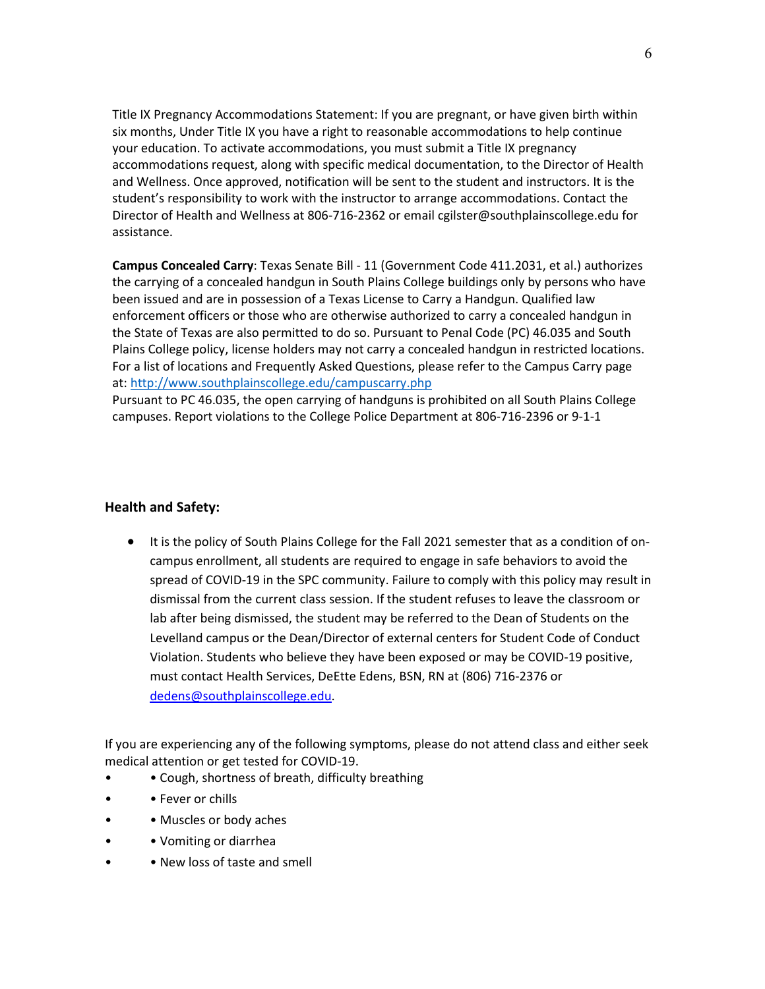Title IX Pregnancy Accommodations Statement: If you are pregnant, or have given birth within six months, Under Title IX you have a right to reasonable accommodations to help continue your education. To activate accommodations, you must submit a Title IX pregnancy accommodations request, along with specific medical documentation, to the Director of Health and Wellness. Once approved, notification will be sent to the student and instructors. It is the student's responsibility to work with the instructor to arrange accommodations. Contact the Director of Health and Wellness at 806-716-2362 or email [cgilster@southplainscollege.edu f](mailto:cgilster@southplainscollege.edu)or assistance.

**Campus Concealed Carry**: Texas Senate Bill - 11 (Government Code 411.2031, et al.) authorizes the [carrying of a concealed handgun in South Plains Colle](http://www.southplainscollege.edu/campuscarry.php)ge buildings only by persons who have been issued and are in possession of a Texas License to Carry a Handgun. Qualified law enforcement officers or those who are otherwise authorized to carry a concealed handgun in the State of Texas are also permitted to do so. Pursuant to Penal Code (PC) 46.035 and South Plains College policy, license holders may not carry a concealed handgun in restricted locations. For a list of locations and Frequently Asked Questions, please refer to the Campus Carry page at:<http://www.southplainscollege.edu/campuscarry.php>

Pursuant to PC 46.035, the open carrying of handguns is prohibited on all South Plains College campuses. Report violations to the College Police Department at 806-716-2396 or 9-1-1

### **Health and Safety:**

• It is the policy of South Plains College for the Fall 2021 semester that as a condition of oncampus enrollment, all students are required to engage in safe behaviors to avoid the spread of COVID-19 in the SPC community. Failure to comply with this policy may result in dismissal from the current class session. If the student refuses to leave the classroom or lab after being dismissed, the student may be referred to the Dean of Students on the Levelland campus or the Dean/Director of external centers for Student Code of Conduct Violation. Students who believe they have been exposed or may be COVID-19 positive, must contact Health Services, DeEtte Edens, BSN, RN at (806) 716-2376 or [dedens@southplainscollege.edu.](mailto:dedens@southplainscollege.edu)

If you are experiencing any of the following symptoms, please do not attend class and either seek medical attention or get tested for COVID-19.

- Cough, shortness of breath, difficulty breathing
- • Fever or chills
- • Muscles or body aches
- • Vomiting or diarrhea
- • New loss of taste and smell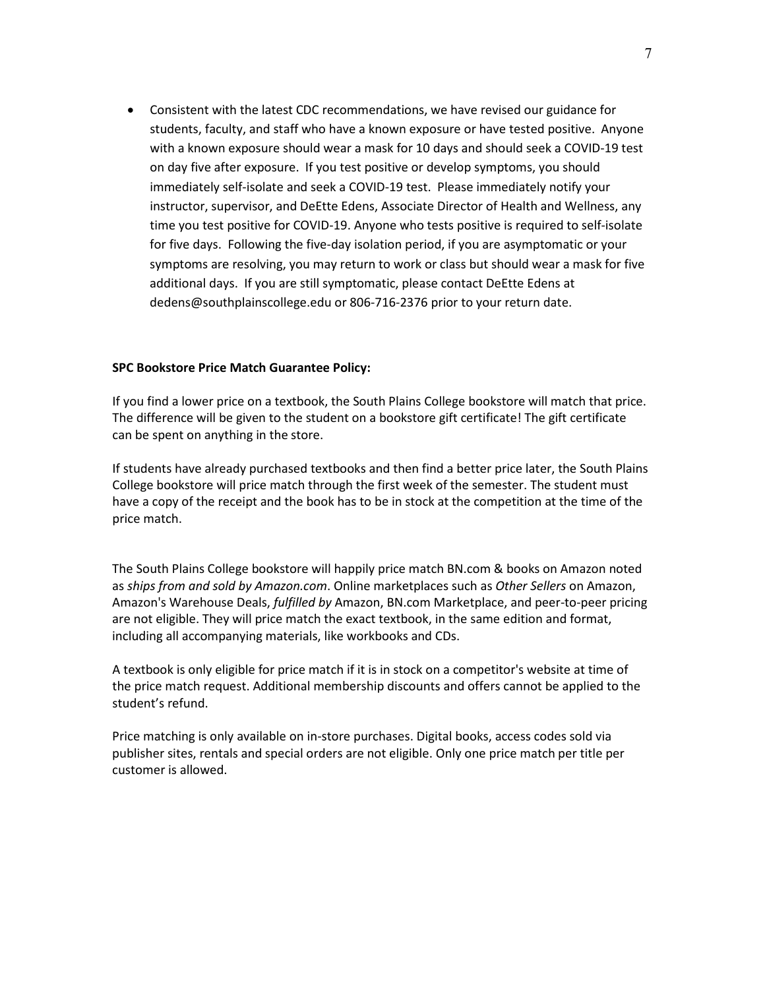• Consistent with the latest CDC recommendations, we have revised our guidance for students, faculty, and staff who have a known exposure or have tested positive. Anyone with a known exposure should wear a mask for 10 days and should seek a COVID-19 test on day five after exposure. If you test positive or develop symptoms, you should immediately self-isolate and seek a COVID-19 test. Please immediately notify your instructor, supervisor, and DeEtte Edens, Associate Director of Health and Wellness, any time you test positive for COVID-19. Anyone who tests positive is required to self-isolate for five days. Following the five-day isolation period, if you are asymptomatic or your symptoms are resolving, you may return to work or class but should wear a mask for five additional days. If you are still symptomatic, please contact DeEtte Edens at dedens@southplainscollege.edu or 806-716-2376 prior to your return date.

### **SPC Bookstore Price Match Guarantee Policy:**

If you find a lower price on a textbook, the South Plains College bookstore will match that price. The difference will be given to the student on a bookstore gift certificate! The gift certificate can be spent on anything in the store.

If students have already purchased textbooks and then find a better price later, the South Plains College bookstore will price match through the first week of the semester. The student must have a copy of the receipt and the book has to be in stock at the competition at the time of the price match.

The South Plains College bookstore will happily price match BN.com & books on Amazon noted as *ships from and sold by Amazon.com*. Online marketplaces such as *Other Sellers* on Amazon, Amazon's Warehouse Deals, *fulfilled by* Amazon, BN.com Marketplace, and peer-to-peer pricing are not eligible. They will price match the exact textbook, in the same edition and format, including all accompanying materials, like workbooks and CDs.

A textbook is only eligible for price match if it is in stock on a competitor's website at time of the price match request. Additional membership discounts and offers cannot be applied to the student's refund.

Price matching is only available on in-store purchases. Digital books, access codes sold via publisher sites, rentals and special orders are not eligible. Only one price match per title per customer is allowed.